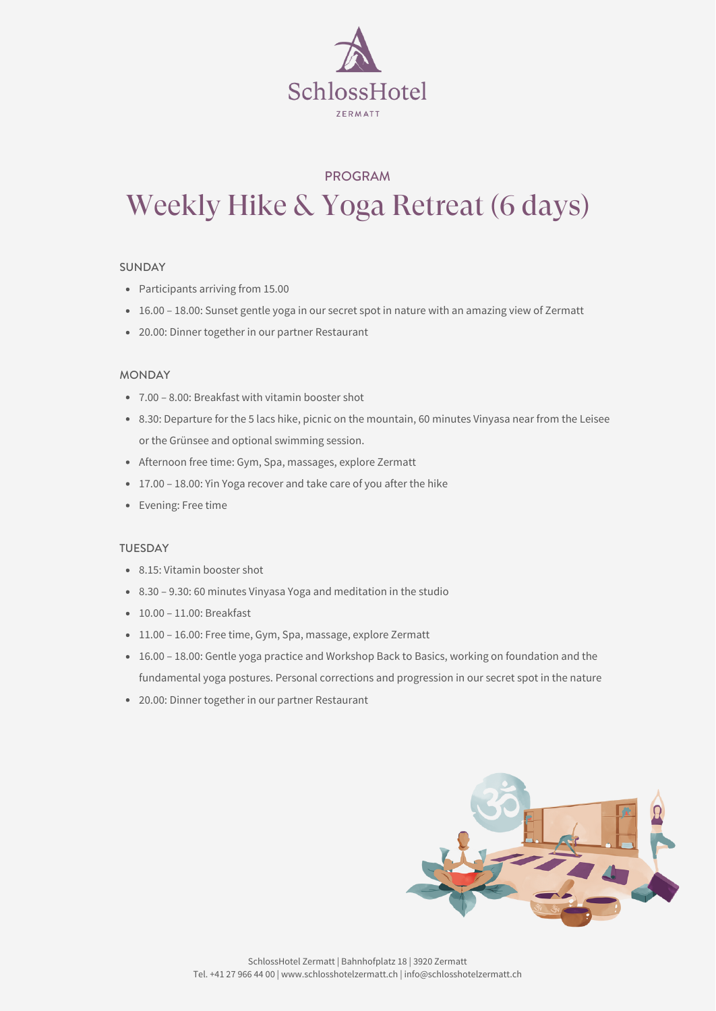- Participants arriving from 15.00
- 16.00 18.00: Sunset gentle yoga in our secret spot in nature with an amazing view of Zermatt
- 20.00: Dinner together in our partner Restaurant

- 7.00 8.00: Breakfast with vitamin booster shot
- 8.30: Departure for the 5 lacs hike, picnic on the mountain, 60 minutes Vinyasa near from the Leisee or the Grünsee and optional swimming session.
- Afternoon free time: Gym, Spa, massages, explore Zermatt
- 17.00 18.00: Yin Yoga recover and take care of you after the hike
- Evening: Free time



# PROGRAM Weekly Hike & Yoga Retreat (6 days)

- 8.15: Vitamin booster shot
- 8.30 9.30: 60 minutes Vinyasa Yoga and meditation in the studio
- 10.00 11.00: Breakfast
- 11.00 16.00: Free time, Gym, Spa, massage, explore Zermatt
- 16.00 18.00: Gentle yoga practice and Workshop Back to Basics, working on foundation and the fundamental yoga postures. Personal corrections and progression in our secret spot in the nature
- 20.00: Dinner together in our partner Restaurant



### SUNDAY

## MONDAY

### TUESDAY

SchlossHotel Zermatt | Bahnhofplatz 18 | 3920 Zermatt Tel. +41 27 966 44 00 | www.schlosshotelzermatt.ch | info@schlosshotelzermatt.ch